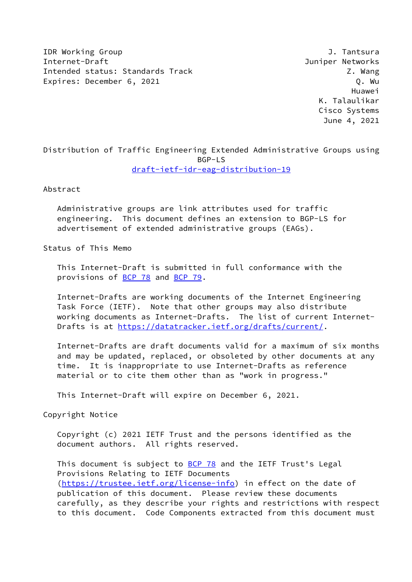**IDR Working Group 1.1 Tantsural Strategies of the U.S. Tantsural Strategies of the U.S. Tantsural Strategies of the U.S. Tantsural Strategies of the U.S. Tantsural Strategies of the U.S. Tantsural Strategies of the U.S. T** Internet-Draft Juniper Networks Intended status: Standards Track Z. Wang Expires: December 6, 2021 and the contract of the contract of the Q. Wu

 Huawei K. Talaulikar Cisco Systems June 4, 2021

# Distribution of Traffic Engineering Extended Administrative Groups using BGP-LS [draft-ietf-idr-eag-distribution-19](https://datatracker.ietf.org/doc/pdf/draft-ietf-idr-eag-distribution-19)

Abstract

 Administrative groups are link attributes used for traffic engineering. This document defines an extension to BGP-LS for advertisement of extended administrative groups (EAGs).

Status of This Memo

 This Internet-Draft is submitted in full conformance with the provisions of **BCP 78** and **BCP 79**.

 Internet-Drafts are working documents of the Internet Engineering Task Force (IETF). Note that other groups may also distribute working documents as Internet-Drafts. The list of current Internet Drafts is at<https://datatracker.ietf.org/drafts/current/>.

 Internet-Drafts are draft documents valid for a maximum of six months and may be updated, replaced, or obsoleted by other documents at any time. It is inappropriate to use Internet-Drafts as reference material or to cite them other than as "work in progress."

This Internet-Draft will expire on December 6, 2021.

Copyright Notice

 Copyright (c) 2021 IETF Trust and the persons identified as the document authors. All rights reserved.

This document is subject to **[BCP 78](https://datatracker.ietf.org/doc/pdf/bcp78)** and the IETF Trust's Legal Provisions Relating to IETF Documents [\(https://trustee.ietf.org/license-info](https://trustee.ietf.org/license-info)) in effect on the date of publication of this document. Please review these documents carefully, as they describe your rights and restrictions with respect to this document. Code Components extracted from this document must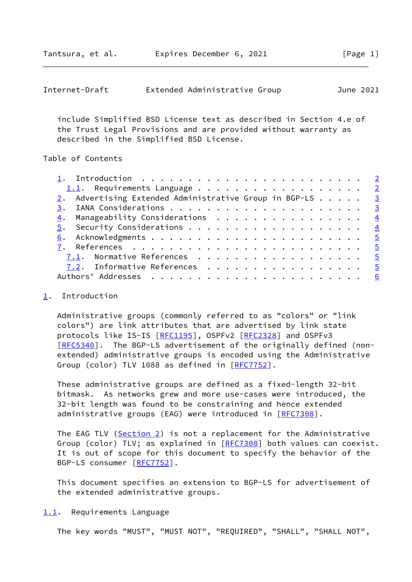<span id="page-1-1"></span>

| Internet-Draft |  | Extended Administrative Group |  | June 2021 |  |
|----------------|--|-------------------------------|--|-----------|--|
|----------------|--|-------------------------------|--|-----------|--|

 include Simplified BSD License text as described in Section 4.e of the Trust Legal Provisions and are provided without warranty as described in the Simplified BSD License.

### Table of Contents

| 1.1. Requirements Language 2                             |  |
|----------------------------------------------------------|--|
| 2. Advertising Extended Administrative Group in BGP-LS 3 |  |
|                                                          |  |
| $\underline{4}$ . Manageability Considerations 4         |  |
|                                                          |  |
|                                                          |  |
|                                                          |  |
| 7.1. Normative References 5                              |  |
| 7.2. Informative References 5                            |  |
|                                                          |  |
|                                                          |  |

## <span id="page-1-0"></span>[1](#page-1-0). Introduction

 Administrative groups (commonly referred to as "colors" or "link colors") are link attributes that are advertised by link state protocols like IS-IS [\[RFC1195](https://datatracker.ietf.org/doc/pdf/rfc1195)], OSPFv2 [\[RFC2328](https://datatracker.ietf.org/doc/pdf/rfc2328)] and OSPFv3 [\[RFC5340](https://datatracker.ietf.org/doc/pdf/rfc5340)]. The BGP-LS advertisement of the originally defined (non extended) administrative groups is encoded using the Administrative Group (color) TLV 1088 as defined in [\[RFC7752](https://datatracker.ietf.org/doc/pdf/rfc7752)].

 These administrative groups are defined as a fixed-length 32-bit bitmask. As networks grew and more use-cases were introduced, the 32-bit length was found to be constraining and hence extended administrative groups (EAG) were introduced in [\[RFC7308](https://datatracker.ietf.org/doc/pdf/rfc7308)].

The EAG TLV [\(Section 2](#page-2-0)) is not a replacement for the Administrative Group (color) TLV; as explained in [[RFC7308\]](https://datatracker.ietf.org/doc/pdf/rfc7308) both values can coexist. It is out of scope for this document to specify the behavior of the BGP-LS consumer [\[RFC7752](https://datatracker.ietf.org/doc/pdf/rfc7752)].

 This document specifies an extension to BGP-LS for advertisement of the extended administrative groups.

#### <span id="page-1-2"></span>[1.1](#page-1-2). Requirements Language

The key words "MUST", "MUST NOT", "REQUIRED", "SHALL", "SHALL NOT",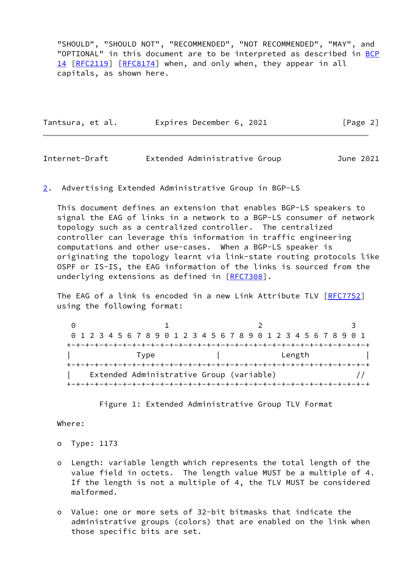"SHOULD", "SHOULD NOT", "RECOMMENDED", "NOT RECOMMENDED", "MAY", and "OPTIONAL" in this document are to be interpreted as described in [BCP](https://datatracker.ietf.org/doc/pdf/bcp14) [14](https://datatracker.ietf.org/doc/pdf/bcp14) [[RFC2119\]](https://datatracker.ietf.org/doc/pdf/rfc2119) [\[RFC8174](https://datatracker.ietf.org/doc/pdf/rfc8174)] when, and only when, they appear in all capitals, as shown here.

|  | Tantsura, et al. |  | Expires December 6, 2021 |  | [Page 2] |  |
|--|------------------|--|--------------------------|--|----------|--|
|--|------------------|--|--------------------------|--|----------|--|

<span id="page-2-1"></span>

| Internet-Draft | Extended Administrative Group | June 2021 |  |
|----------------|-------------------------------|-----------|--|
|                |                               |           |  |

<span id="page-2-0"></span>[2](#page-2-0). Advertising Extended Administrative Group in BGP-LS

 This document defines an extension that enables BGP-LS speakers to signal the EAG of links in a network to a BGP-LS consumer of network topology such as a centralized controller. The centralized controller can leverage this information in traffic engineering computations and other use-cases. When a BGP-LS speaker is originating the topology learnt via link-state routing protocols like OSPF or IS-IS, the EAG information of the links is sourced from the underlying extensions as defined in [\[RFC7308](https://datatracker.ietf.org/doc/pdf/rfc7308)].

 The EAG of a link is encoded in a new Link Attribute TLV [\[RFC7752](https://datatracker.ietf.org/doc/pdf/rfc7752)] using the following format:

| 0 1 2 3 4 5 6 7 8 9 0 1 2 3 4 5 6 7 8 9 0 1 2 3 4 5 6 7 8 9 0 1 |  |  |  |  |  |  |      |  |  |  |  |  |  |  |  |        |  |  |  |  |
|-----------------------------------------------------------------|--|--|--|--|--|--|------|--|--|--|--|--|--|--|--|--------|--|--|--|--|
|                                                                 |  |  |  |  |  |  |      |  |  |  |  |  |  |  |  |        |  |  |  |  |
|                                                                 |  |  |  |  |  |  | Type |  |  |  |  |  |  |  |  | Length |  |  |  |  |
|                                                                 |  |  |  |  |  |  |      |  |  |  |  |  |  |  |  |        |  |  |  |  |
| Extended Administrative Group (variable)                        |  |  |  |  |  |  |      |  |  |  |  |  |  |  |  |        |  |  |  |  |
|                                                                 |  |  |  |  |  |  |      |  |  |  |  |  |  |  |  |        |  |  |  |  |

Figure 1: Extended Administrative Group TLV Format

## Where:

- o Type: 1173
- o Length: variable length which represents the total length of the value field in octets. The length value MUST be a multiple of 4. If the length is not a multiple of 4, the TLV MUST be considered malformed.
- o Value: one or more sets of 32-bit bitmasks that indicate the administrative groups (colors) that are enabled on the link when those specific bits are set.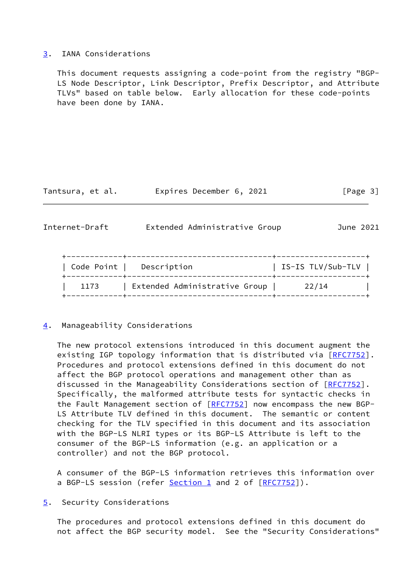#### <span id="page-3-0"></span>[3](#page-3-0). IANA Considerations

 This document requests assigning a code-point from the registry "BGP- LS Node Descriptor, Link Descriptor, Prefix Descriptor, and Attribute TLVs" based on table below. Early allocation for these code-points have been done by IANA.

Tantsura, et al. Expires December 6, 2021 [Page 3]

<span id="page-3-2"></span>

| Internet-Draft | Extended Administrative Group | June 2021         |
|----------------|-------------------------------|-------------------|
| Code Point     | Description                   | IS-IS TLV/Sub-TLV |
| 1173           | Extended Administrative Group | 22/14             |

+------------+-------------------------------+-------------------+

## <span id="page-3-1"></span>[4](#page-3-1). Manageability Considerations

 The new protocol extensions introduced in this document augment the existing IGP topology information that is distributed via [[RFC7752](https://datatracker.ietf.org/doc/pdf/rfc7752)]. Procedures and protocol extensions defined in this document do not affect the BGP protocol operations and management other than as discussed in the Manageability Considerations section of [\[RFC7752](https://datatracker.ietf.org/doc/pdf/rfc7752)]. Specifically, the malformed attribute tests for syntactic checks in the Fault Management section of [\[RFC7752](https://datatracker.ietf.org/doc/pdf/rfc7752)] now encompass the new BGP- LS Attribute TLV defined in this document. The semantic or content checking for the TLV specified in this document and its association with the BGP-LS NLRI types or its BGP-LS Attribute is left to the consumer of the BGP-LS information (e.g. an application or a controller) and not the BGP protocol.

 A consumer of the BGP-LS information retrieves this information over a BGP-LS session (refer [Section 1](#page-1-0) and 2 of [[RFC7752\]](https://datatracker.ietf.org/doc/pdf/rfc7752)).

<span id="page-3-3"></span>[5](#page-3-3). Security Considerations

 The procedures and protocol extensions defined in this document do not affect the BGP security model. See the "Security Considerations"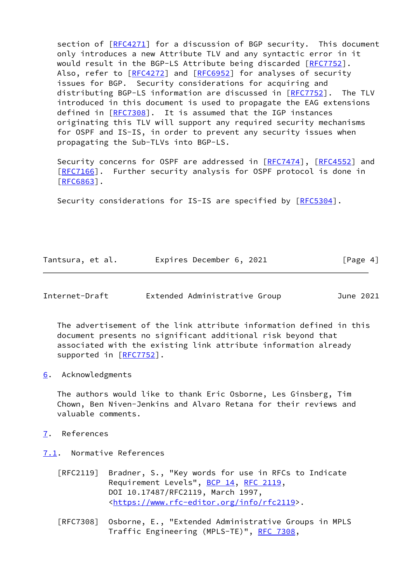section of [[RFC4271\]](https://datatracker.ietf.org/doc/pdf/rfc4271) for a discussion of BGP security. This document only introduces a new Attribute TLV and any syntactic error in it would result in the BGP-LS Attribute being discarded [\[RFC7752](https://datatracker.ietf.org/doc/pdf/rfc7752)]. Also, refer to [\[RFC4272](https://datatracker.ietf.org/doc/pdf/rfc4272)] and [\[RFC6952](https://datatracker.ietf.org/doc/pdf/rfc6952)] for analyses of security issues for BGP. Security considerations for acquiring and distributing BGP-LS information are discussed in [\[RFC7752](https://datatracker.ietf.org/doc/pdf/rfc7752)]. The TLV introduced in this document is used to propagate the EAG extensions defined in [[RFC7308\]](https://datatracker.ietf.org/doc/pdf/rfc7308). It is assumed that the IGP instances originating this TLV will support any required security mechanisms for OSPF and IS-IS, in order to prevent any security issues when propagating the Sub-TLVs into BGP-LS.

Security concerns for OSPF are addressed in [\[RFC7474](https://datatracker.ietf.org/doc/pdf/rfc7474)], [\[RFC4552](https://datatracker.ietf.org/doc/pdf/rfc4552)] and [\[RFC7166](https://datatracker.ietf.org/doc/pdf/rfc7166)]. Further security analysis for OSPF protocol is done in [\[RFC6863](https://datatracker.ietf.org/doc/pdf/rfc6863)].

Security considerations for IS-IS are specified by [[RFC5304\]](https://datatracker.ietf.org/doc/pdf/rfc5304).

|  | Tantsura, et al. | Expires December 6, 2021 | [Page 4] |
|--|------------------|--------------------------|----------|
|--|------------------|--------------------------|----------|

<span id="page-4-1"></span>

| Internet-Draft |  | Extended Administrative Group |  | June 2021 |  |
|----------------|--|-------------------------------|--|-----------|--|
|----------------|--|-------------------------------|--|-----------|--|

 The advertisement of the link attribute information defined in this document presents no significant additional risk beyond that associated with the existing link attribute information already supported in [\[RFC7752](https://datatracker.ietf.org/doc/pdf/rfc7752)].

<span id="page-4-0"></span>[6](#page-4-0). Acknowledgments

 The authors would like to thank Eric Osborne, Les Ginsberg, Tim Chown, Ben Niven-Jenkins and Alvaro Retana for their reviews and valuable comments.

- <span id="page-4-2"></span>[7](#page-4-2). References
- <span id="page-4-3"></span>[7.1](#page-4-3). Normative References
	- [RFC2119] Bradner, S., "Key words for use in RFCs to Indicate Requirement Levels", [BCP 14](https://datatracker.ietf.org/doc/pdf/bcp14), [RFC 2119](https://datatracker.ietf.org/doc/pdf/rfc2119), DOI 10.17487/RFC2119, March 1997, <[https://www.rfc-editor.org/info/rfc2119>](https://www.rfc-editor.org/info/rfc2119).
	- [RFC7308] Osborne, E., "Extended Administrative Groups in MPLS Traffic Engineering (MPLS-TE)", [RFC 7308,](https://datatracker.ietf.org/doc/pdf/rfc7308)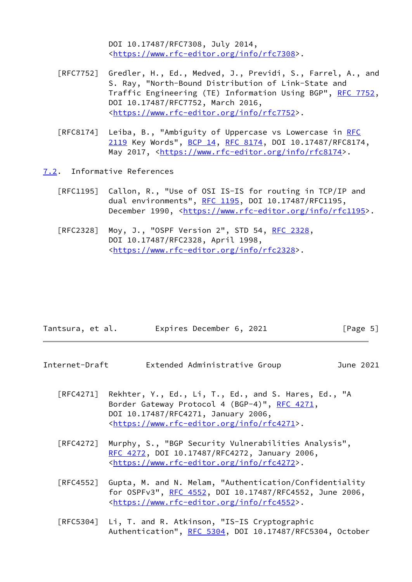DOI 10.17487/RFC7308, July 2014, <[https://www.rfc-editor.org/info/rfc7308>](https://www.rfc-editor.org/info/rfc7308).

- [RFC7752] Gredler, H., Ed., Medved, J., Previdi, S., Farrel, A., and S. Ray, "North-Bound Distribution of Link-State and Traffic Engineering (TE) Information Using BGP", [RFC 7752,](https://datatracker.ietf.org/doc/pdf/rfc7752) DOI 10.17487/RFC7752, March 2016, <[https://www.rfc-editor.org/info/rfc7752>](https://www.rfc-editor.org/info/rfc7752).
- [RFC8174] Leiba, B., "Ambiguity of Uppercase vs Lowercase in [RFC](https://datatracker.ietf.org/doc/pdf/rfc2119) [2119](https://datatracker.ietf.org/doc/pdf/rfc2119) Key Words", [BCP 14](https://datatracker.ietf.org/doc/pdf/bcp14), [RFC 8174,](https://datatracker.ietf.org/doc/pdf/rfc8174) DOI 10.17487/RFC8174, May 2017, [<https://www.rfc-editor.org/info/rfc8174](https://www.rfc-editor.org/info/rfc8174)>.
- <span id="page-5-0"></span>[7.2](#page-5-0). Informative References
	- [RFC1195] Callon, R., "Use of OSI IS-IS for routing in TCP/IP and dual environments", [RFC 1195,](https://datatracker.ietf.org/doc/pdf/rfc1195) DOI 10.17487/RFC1195, December 1990, <<https://www.rfc-editor.org/info/rfc1195>>.
	- [RFC2328] Moy, J., "OSPF Version 2", STD 54, [RFC 2328](https://datatracker.ietf.org/doc/pdf/rfc2328), DOI 10.17487/RFC2328, April 1998, <[https://www.rfc-editor.org/info/rfc2328>](https://www.rfc-editor.org/info/rfc2328).

| Tantsura, et al. | Expires December 6, 2021 |  | [Page 5] |
|------------------|--------------------------|--|----------|
|------------------|--------------------------|--|----------|

- <span id="page-5-1"></span>Internet-Draft Extended Administrative Group June 2021
	- [RFC4271] Rekhter, Y., Ed., Li, T., Ed., and S. Hares, Ed., "A Border Gateway Protocol 4 (BGP-4)", [RFC 4271,](https://datatracker.ietf.org/doc/pdf/rfc4271) DOI 10.17487/RFC4271, January 2006, <[https://www.rfc-editor.org/info/rfc4271>](https://www.rfc-editor.org/info/rfc4271).
	- [RFC4272] Murphy, S., "BGP Security Vulnerabilities Analysis", [RFC 4272,](https://datatracker.ietf.org/doc/pdf/rfc4272) DOI 10.17487/RFC4272, January 2006, <[https://www.rfc-editor.org/info/rfc4272>](https://www.rfc-editor.org/info/rfc4272).
	- [RFC4552] Gupta, M. and N. Melam, "Authentication/Confidentiality for OSPFv3", [RFC 4552](https://datatracker.ietf.org/doc/pdf/rfc4552), DOI 10.17487/RFC4552, June 2006, <[https://www.rfc-editor.org/info/rfc4552>](https://www.rfc-editor.org/info/rfc4552).
	- [RFC5304] Li, T. and R. Atkinson, "IS-IS Cryptographic Authentication", [RFC 5304,](https://datatracker.ietf.org/doc/pdf/rfc5304) DOI 10.17487/RFC5304, October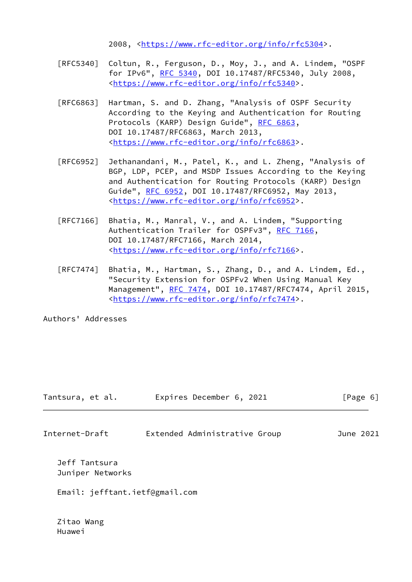2008, [<https://www.rfc-editor.org/info/rfc5304](https://www.rfc-editor.org/info/rfc5304)>.

- [RFC5340] Coltun, R., Ferguson, D., Moy, J., and A. Lindem, "OSPF for IPv6", [RFC 5340](https://datatracker.ietf.org/doc/pdf/rfc5340), DOI 10.17487/RFC5340, July 2008, <[https://www.rfc-editor.org/info/rfc5340>](https://www.rfc-editor.org/info/rfc5340).
- [RFC6863] Hartman, S. and D. Zhang, "Analysis of OSPF Security According to the Keying and Authentication for Routing Protocols (KARP) Design Guide", [RFC 6863,](https://datatracker.ietf.org/doc/pdf/rfc6863) DOI 10.17487/RFC6863, March 2013, <[https://www.rfc-editor.org/info/rfc6863>](https://www.rfc-editor.org/info/rfc6863).
- [RFC6952] Jethanandani, M., Patel, K., and L. Zheng, "Analysis of BGP, LDP, PCEP, and MSDP Issues According to the Keying and Authentication for Routing Protocols (KARP) Design Guide", [RFC 6952,](https://datatracker.ietf.org/doc/pdf/rfc6952) DOI 10.17487/RFC6952, May 2013, <[https://www.rfc-editor.org/info/rfc6952>](https://www.rfc-editor.org/info/rfc6952).
- [RFC7166] Bhatia, M., Manral, V., and A. Lindem, "Supporting Authentication Trailer for OSPFv3", [RFC 7166,](https://datatracker.ietf.org/doc/pdf/rfc7166) DOI 10.17487/RFC7166, March 2014, <[https://www.rfc-editor.org/info/rfc7166>](https://www.rfc-editor.org/info/rfc7166).
- [RFC7474] Bhatia, M., Hartman, S., Zhang, D., and A. Lindem, Ed., "Security Extension for OSPFv2 When Using Manual Key Management", [RFC 7474](https://datatracker.ietf.org/doc/pdf/rfc7474), DOI 10.17487/RFC7474, April 2015, <[https://www.rfc-editor.org/info/rfc7474>](https://www.rfc-editor.org/info/rfc7474).

Authors' Addresses

| Tantsura, et al. | Expires December 6, 2021 | [Page 6] |  |
|------------------|--------------------------|----------|--|
|                  |                          |          |  |

Internet-Draft Extended Administrative Group June 2021

 Jeff Tantsura Juniper Networks

Email: jefftant.ietf@gmail.com

 Zitao Wang Huawei